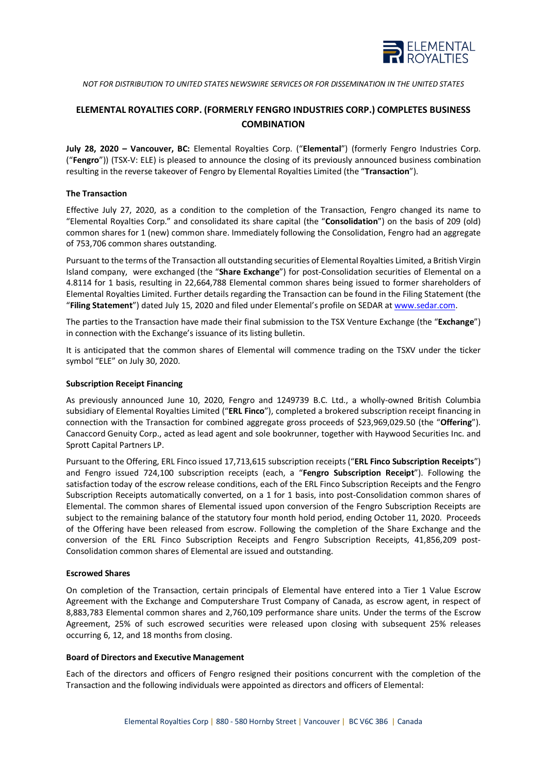

*NOT FOR DISTRIBUTION TO UNITED STATES NEWSWIRE SERVICES OR FOR DISSEMINATION IN THE UNITED STATES*

# **ELEMENTAL ROYALTIES CORP. (FORMERLY FENGRO INDUSTRIES CORP.) COMPLETES BUSINESS COMBINATION**

**July 28, 2020 – Vancouver, BC:** Elemental Royalties Corp. ("**Elemental**") (formerly Fengro Industries Corp. ("**Fengro**")) (TSX-V: ELE) is pleased to announce the closing of its previously announced business combination resulting in the reverse takeover of Fengro by Elemental Royalties Limited (the "**Transaction**").

# **The Transaction**

Effective July 27, 2020, as a condition to the completion of the Transaction, Fengro changed its name to "Elemental Royalties Corp." and consolidated its share capital (the "**Consolidation**") on the basis of 209 (old) common shares for 1 (new) common share. Immediately following the Consolidation, Fengro had an aggregate of 753,706 common shares outstanding.

Pursuant to the terms of the Transaction all outstanding securities of Elemental Royalties Limited, a British Virgin Island company, were exchanged (the "**Share Exchange**") for post-Consolidation securities of Elemental on a 4.8114 for 1 basis, resulting in 22,664,788 Elemental common shares being issued to former shareholders of Elemental Royalties Limited. Further details regarding the Transaction can be found in the Filing Statement (the "**Filing Statement**") dated July 15, 2020 and filed under Elemental's profile on SEDAR a[t www.sedar.com.](http://www.sedar.com/)

The parties to the Transaction have made their final submission to the TSX Venture Exchange (the "**Exchange**") in connection with the Exchange's issuance of its listing bulletin.

It is anticipated that the common shares of Elemental will commence trading on the TSXV under the ticker symbol "ELE" on July 30, 2020.

# **Subscription Receipt Financing**

As previously announced June 10, 2020, Fengro and 1249739 B.C. Ltd., a wholly-owned British Columbia subsidiary of Elemental Royalties Limited ("**ERL Finco**"), completed a brokered subscription receipt financing in connection with the Transaction for combined aggregate gross proceeds of \$23,969,029.50 (the "**Offering**"). Canaccord Genuity Corp., acted as lead agent and sole bookrunner, together with Haywood Securities Inc. and Sprott Capital Partners LP.

Pursuant to the Offering, ERL Finco issued 17,713,615 subscription receipts ("**ERL Finco Subscription Receipts**") and Fengro issued 724,100 subscription receipts (each, a "**Fengro Subscription Receipt**"). Following the satisfaction today of the escrow release conditions, each of the ERL Finco Subscription Receipts and the Fengro Subscription Receipts automatically converted, on a 1 for 1 basis, into post-Consolidation common shares of Elemental. The common shares of Elemental issued upon conversion of the Fengro Subscription Receipts are subject to the remaining balance of the statutory four month hold period, ending October 11, 2020. Proceeds of the Offering have been released from escrow. Following the completion of the Share Exchange and the conversion of the ERL Finco Subscription Receipts and Fengro Subscription Receipts, 41,856,209 post-Consolidation common shares of Elemental are issued and outstanding.

## **Escrowed Shares**

On completion of the Transaction, certain principals of Elemental have entered into a Tier 1 Value Escrow Agreement with the Exchange and Computershare Trust Company of Canada, as escrow agent, in respect of 8,883,783 Elemental common shares and 2,760,109 performance share units. Under the terms of the Escrow Agreement, 25% of such escrowed securities were released upon closing with subsequent 25% releases occurring 6, 12, and 18 months from closing.

## **Board of Directors and Executive Management**

Each of the directors and officers of Fengro resigned their positions concurrent with the completion of the Transaction and the following individuals were appointed as directors and officers of Elemental: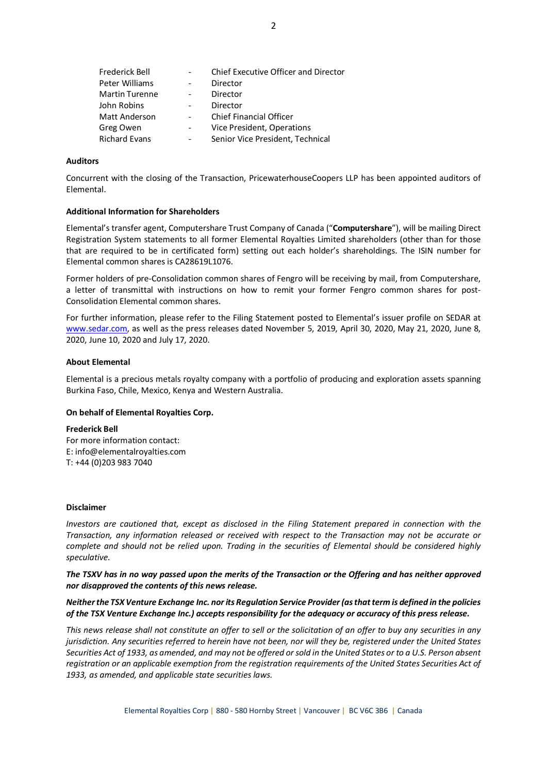| Frederick Bell        |   | Chief Executive Officer and Director |
|-----------------------|---|--------------------------------------|
| Peter Williams        |   | Director                             |
| <b>Martin Turenne</b> |   | Director                             |
| John Robins           |   | Director                             |
| <b>Matt Anderson</b>  |   | <b>Chief Financial Officer</b>       |
| Greg Owen             | - | Vice President, Operations           |
| <b>Richard Evans</b>  |   | Senior Vice President, Technical     |

## **Auditors**

Concurrent with the closing of the Transaction, PricewaterhouseCoopers LLP has been appointed auditors of Elemental.

## **Additional Information for Shareholders**

Elemental's transfer agent, Computershare Trust Company of Canada ("**Computershare**"), will be mailing Direct Registration System statements to all former Elemental Royalties Limited shareholders (other than for those that are required to be in certificated form) setting out each holder's shareholdings. The ISIN number for Elemental common shares is CA28619L1076.

Former holders of pre-Consolidation common shares of Fengro will be receiving by mail, from Computershare, a letter of transmittal with instructions on how to remit your former Fengro common shares for post-Consolidation Elemental common shares.

For further information, please refer to the Filing Statement posted to Elemental's issuer profile on SEDAR at [www.sedar.com,](http://www.sedar.com/) as well as the press releases dated November 5, 2019, April 30, 2020, May 21, 2020, June 8, 2020, June 10, 2020 and July 17, 2020.

#### **About Elemental**

Elemental is a precious metals royalty company with a portfolio of producing and exploration assets spanning Burkina Faso, Chile, Mexico, Kenya and Western Australia.

## **On behalf of Elemental Royalties Corp.**

#### **Frederick Bell**

For more information contact: E: info@elementalroyalties.com T: +44 (0)203 983 7040

## **Disclaimer**

*Investors are cautioned that, except as disclosed in the Filing Statement prepared in connection with the Transaction, any information released or received with respect to the Transaction may not be accurate or complete and should not be relied upon. Trading in the securities of Elemental should be considered highly speculative.*

*The TSXV has in no way passed upon the merits of the Transaction or the Offering and has neither approved nor disapproved the contents of this news release.*

# *Neither the TSX Venture Exchange Inc. nor its Regulation Service Provider (as that term is defined in the policies of the TSX Venture Exchange Inc.) accepts responsibility for the adequacy or accuracy of this press release.*

*This news release shall not constitute an offer to sell or the solicitation of an offer to buy any securities in any jurisdiction. Any securities referred to herein have not been, nor will they be, registered under the United States Securities Act of 1933, as amended, and may not be offered or sold in the United States or to a U.S. Person absent registration or an applicable exemption from the registration requirements of the United States Securities Act of 1933, as amended, and applicable state securities laws.*